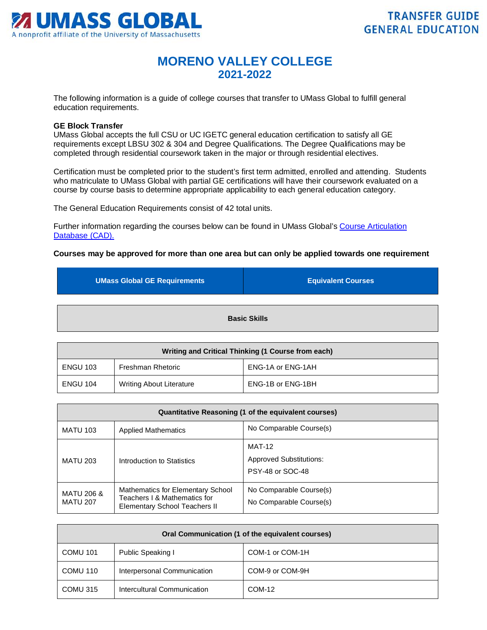

## **MORENO VALLEY COLLEGE 2021-2022**

The following information is a guide of college courses that transfer to UMass Global to fulfill general education requirements.

## **GE Block Transfer**

UMass Global accepts the full CSU or UC IGETC general education certification to satisfy all GE requirements except LBSU 302 & 304 and Degree Qualifications. The Degree Qualifications may be completed through residential coursework taken in the major or through residential electives.

Certification must be completed prior to the student's first term admitted, enrolled and attending. Students who matriculate to UMass Global with partial GE certifications will have their coursework evaluated on a course by course basis to determine appropriate applicability to each general education category.

The General Education Requirements consist of 42 total units.

Further information regarding the courses below can be found in UMass Global's Course Articulation [Database \(CAD\).](http://services.umassglobal.edu/studentservices/TransferCredit/) 

## **Courses may be approved for more than one area but can only be applied towards one requirement**

| <b>UMass Global GE Requirements</b> | <b>Equivalent Courses</b> |
|-------------------------------------|---------------------------|
|                                     |                           |
| <b>Basic Skills</b>                 |                           |

| Writing and Critical Thinking (1 Course from each) |                          |                   |
|----------------------------------------------------|--------------------------|-------------------|
| <b>ENGU 103</b>                                    | Freshman Rhetoric        | ENG-1A or ENG-1AH |
| <b>ENGU 104</b>                                    | Writing About Literature | ENG-1B or ENG-1BH |

| Quantitative Reasoning (1 of the equivalent courses) |                                                                                                    |                                                                     |
|------------------------------------------------------|----------------------------------------------------------------------------------------------------|---------------------------------------------------------------------|
| <b>MATU 103</b>                                      | <b>Applied Mathematics</b>                                                                         | No Comparable Course(s)                                             |
| <b>MATU 203</b>                                      | Introduction to Statistics                                                                         | <b>MAT-12</b><br><b>Approved Substitutions:</b><br>PSY-48 or SOC-48 |
| <b>MATU 206 &amp;</b><br><b>MATU 207</b>             | Mathematics for Elementary School<br>Teachers I & Mathematics for<br>Elementary School Teachers II | No Comparable Course(s)<br>No Comparable Course(s)                  |

| Oral Communication (1 of the equivalent courses) |                             |                 |
|--------------------------------------------------|-----------------------------|-----------------|
| <b>COMU 101</b>                                  | Public Speaking I           | COM-1 or COM-1H |
| COMU 110                                         | Interpersonal Communication | COM-9 or COM-9H |
| COMU 315                                         | Intercultural Communication | COM-12          |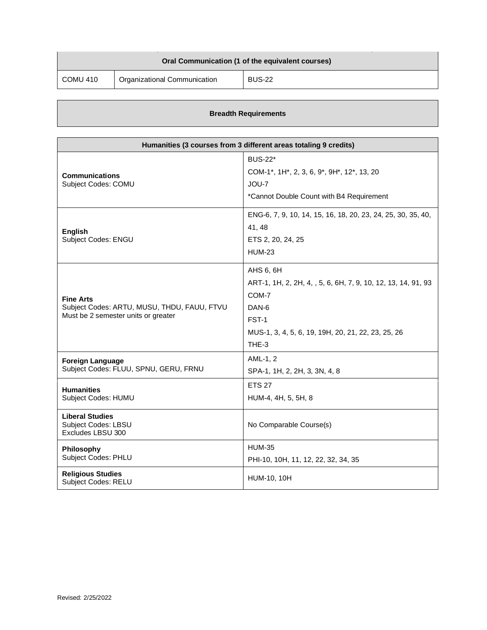| Oral Communication (1 of the equivalent courses) |                              |               |
|--------------------------------------------------|------------------------------|---------------|
| COMU 410                                         | Organizational Communication | <b>BUS-22</b> |

| Humanities (3 courses from 3 different areas totaling 9 credits)                                       |                                                                                                                                                                                    |
|--------------------------------------------------------------------------------------------------------|------------------------------------------------------------------------------------------------------------------------------------------------------------------------------------|
| <b>Communications</b><br>Subject Codes: COMU                                                           | <b>BUS-22*</b><br>COM-1 <sup>*</sup> , 1H <sup>*</sup> , 2, 3, 6, 9 <sup>*</sup> , 9H <sup>*</sup> , 12 <sup>*</sup> , 13, 20<br>JOU-7<br>*Cannot Double Count with B4 Requirement |
| <b>English</b><br>Subject Codes: ENGU                                                                  | ENG-6, 7, 9, 10, 14, 15, 16, 18, 20, 23, 24, 25, 30, 35, 40,<br>41, 48<br>ETS 2, 20, 24, 25<br><b>HUM-23</b>                                                                       |
| <b>Fine Arts</b><br>Subject Codes: ARTU, MUSU, THDU, FAUU, FTVU<br>Must be 2 semester units or greater | AHS 6, 6H<br>ART-1, 1H, 2, 2H, 4, , 5, 6, 6H, 7, 9, 10, 12, 13, 14, 91, 93<br>COM-7<br>DAN-6<br>FST-1<br>MUS-1, 3, 4, 5, 6, 19, 19H, 20, 21, 22, 23, 25, 26<br>THE-3               |
| <b>Foreign Language</b><br>Subject Codes: FLUU, SPNU, GERU, FRNU                                       | AML-1, 2<br>SPA-1, 1H, 2, 2H, 3, 3N, 4, 8                                                                                                                                          |
| <b>Humanities</b><br>Subject Codes: HUMU                                                               | <b>ETS 27</b><br>HUM-4, 4H, 5, 5H, 8                                                                                                                                               |
| <b>Liberal Studies</b><br><b>Subject Codes: LBSU</b><br>Excludes LBSU 300                              | No Comparable Course(s)                                                                                                                                                            |
| Philosophy<br><b>Subject Codes: PHLU</b>                                                               | <b>HUM-35</b><br>PHI-10, 10H, 11, 12, 22, 32, 34, 35                                                                                                                               |
| <b>Religious Studies</b><br>Subject Codes: RELU                                                        | <b>HUM-10, 10H</b>                                                                                                                                                                 |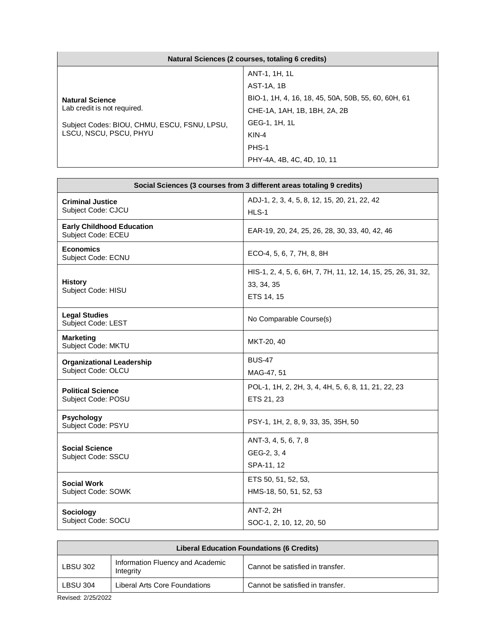| Natural Sciences (2 courses, totaling 6 credits)                                                                                |                                                     |
|---------------------------------------------------------------------------------------------------------------------------------|-----------------------------------------------------|
|                                                                                                                                 | ANT-1, 1H, 1L                                       |
| <b>Natural Science</b><br>Lab credit is not required.<br>Subject Codes: BIOU, CHMU, ESCU, FSNU, LPSU,<br>LSCU, NSCU, PSCU, PHYU | AST-1A, 1B                                          |
|                                                                                                                                 | BIO-1, 1H, 4, 16, 18, 45, 50A, 50B, 55, 60, 60H, 61 |
|                                                                                                                                 | CHE-1A, 1AH, 1B, 1BH, 2A, 2B                        |
|                                                                                                                                 | GEG-1, 1H, 1L                                       |
|                                                                                                                                 | $KIN-4$                                             |
|                                                                                                                                 | PHS-1                                               |
|                                                                                                                                 | PHY-4A, 4B, 4C, 4D, 10, 11                          |

| Social Sciences (3 courses from 3 different areas totaling 9 credits) |                                                                                           |
|-----------------------------------------------------------------------|-------------------------------------------------------------------------------------------|
| <b>Criminal Justice</b><br>Subject Code: CJCU                         | ADJ-1, 2, 3, 4, 5, 8, 12, 15, 20, 21, 22, 42<br>HLS-1                                     |
| <b>Early Childhood Education</b><br>Subject Code: ECEU                | EAR-19, 20, 24, 25, 26, 28, 30, 33, 40, 42, 46                                            |
| <b>Economics</b><br>Subject Code: ECNU                                | ECO-4, 5, 6, 7, 7H, 8, 8H                                                                 |
| <b>History</b><br>Subject Code: HISU                                  | HIS-1, 2, 4, 5, 6, 6H, 7, 7H, 11, 12, 14, 15, 25, 26, 31, 32,<br>33, 34, 35<br>ETS 14, 15 |
| <b>Legal Studies</b><br>Subject Code: LEST                            | No Comparable Course(s)                                                                   |
| <b>Marketing</b><br>Subject Code: MKTU                                | MKT-20, 40                                                                                |
| <b>Organizational Leadership</b><br>Subject Code: OLCU                | <b>BUS-47</b><br>MAG-47, 51                                                               |
| <b>Political Science</b><br>Subject Code: POSU                        | POL-1, 1H, 2, 2H, 3, 4, 4H, 5, 6, 8, 11, 21, 22, 23<br>ETS 21, 23                         |
| Psychology<br>Subject Code: PSYU                                      | PSY-1, 1H, 2, 8, 9, 33, 35, 35H, 50                                                       |
| <b>Social Science</b><br>Subject Code: SSCU                           | ANT-3, 4, 5, 6, 7, 8<br>GEG-2, 3, 4<br>SPA-11, 12                                         |
| <b>Social Work</b><br>Subject Code: SOWK                              | ETS 50, 51, 52, 53,<br>HMS-18, 50, 51, 52, 53                                             |
| Sociology<br>Subject Code: SOCU                                       | <b>ANT-2, 2H</b><br>SOC-1, 2, 10, 12, 20, 50                                              |

| <b>Liberal Education Foundations (6 Credits)</b> |                                               |                                  |
|--------------------------------------------------|-----------------------------------------------|----------------------------------|
| <b>LBSU 302</b>                                  | Information Fluency and Academic<br>Integrity | Cannot be satisfied in transfer. |
| <b>LBSU 304</b>                                  | Liberal Arts Core Foundations                 | Cannot be satisfied in transfer. |